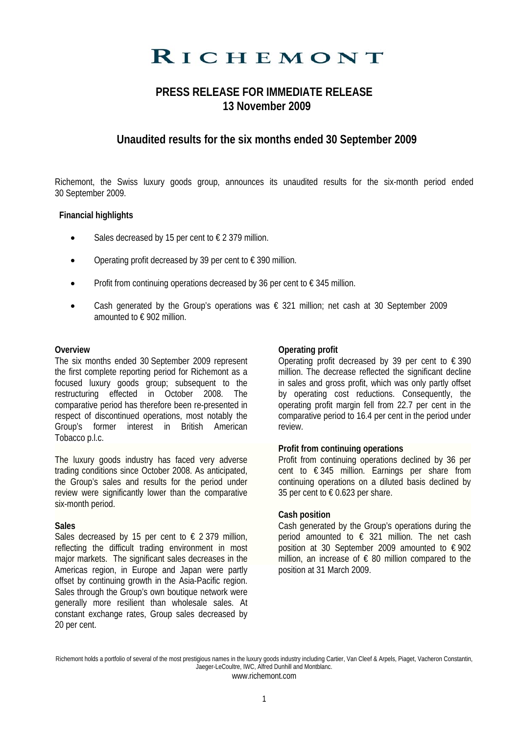# RICHEMONT

## **PRESS RELEASE FOR IMMEDIATE RELEASE 13 November 2009**

### **Unaudited results for the six months ended 30 September 2009**

Richemont, the Swiss luxury goods group, announces its unaudited results for the six-month period ended 30 September 2009.

#### **Financial highlights**

- Sales decreased by 15 per cent to  $\epsilon$  2 379 million.
- Operating profit decreased by 39 per cent to  $\epsilon$  390 million.
- Profit from continuing operations decreased by 36 per cent to  $\epsilon$  345 million.
- Cash generated by the Group's operations was  $\epsilon$  321 million; net cash at 30 September 2009 amounted to € 902 million.

#### **Overview**

The six months ended 30 September 2009 represent the first complete reporting period for Richemont as a focused luxury goods group; subsequent to the restructuring effected in October 2008. The comparative period has therefore been re-presented in respect of discontinued operations, most notably the Group's former interest in British American Tobacco p.l.c.

The luxury goods industry has faced very adverse trading conditions since October 2008. As anticipated, the Group's sales and results for the period under review were significantly lower than the comparative six-month period.

#### **Sales**

Sales decreased by 15 per cent to  $\epsilon$  2 379 million, reflecting the difficult trading environment in most major markets. The significant sales decreases in the Americas region, in Europe and Japan were partly offset by continuing growth in the Asia-Pacific region. Sales through the Group's own boutique network were generally more resilient than wholesale sales. At constant exchange rates, Group sales decreased by 20 per cent.

#### **Operating profit**

Operating profit decreased by 39 per cent to  $\epsilon$  390 million. The decrease reflected the significant decline in sales and gross profit, which was only partly offset by operating cost reductions. Consequently, the operating profit margin fell from 22.7 per cent in the comparative period to 16.4 per cent in the period under review.

#### **Profit from continuing operations**

Profit from continuing operations declined by 36 per cent to € 345 million. Earnings per share from continuing operations on a diluted basis declined by 35 per cent to  $\epsilon$  0.623 per share.

#### **Cash position**

Cash generated by the Group's operations during the period amounted to  $\epsilon$  321 million. The net cash position at 30 September 2009 amounted to  $\epsilon$  902 million, an increase of  $\epsilon$  80 million compared to the position at 31 March 2009.

Richemont holds a portfolio of several of the most prestigious names in the luxury goods industry including Cartier, Van Cleef & Arpels, Piaget, Vacheron Constantin, Jaeger-LeCoultre, IWC, Alfred Dunhill and Montblanc. www.richemont.com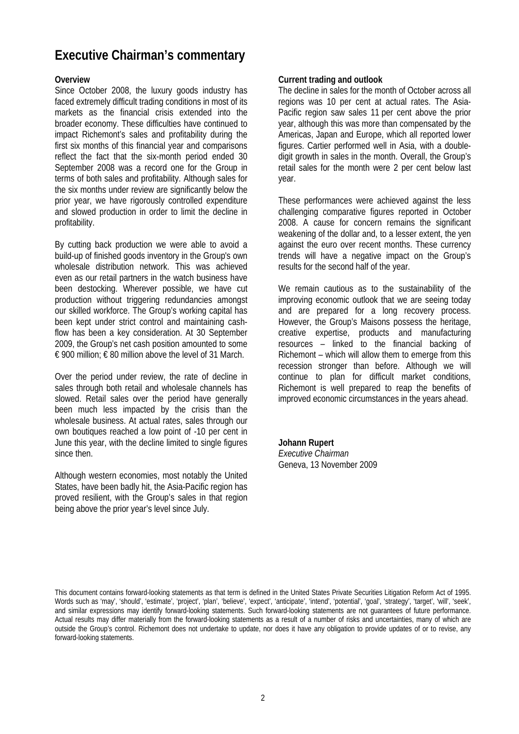# **Executive Chairman's commentary**

#### **Overview**

Since October 2008, the luxury goods industry has faced extremely difficult trading conditions in most of its markets as the financial crisis extended into the broader economy. These difficulties have continued to impact Richemont's sales and profitability during the first six months of this financial year and comparisons reflect the fact that the six-month period ended 30 September 2008 was a record one for the Group in terms of both sales and profitability. Although sales for the six months under review are significantly below the prior year, we have rigorously controlled expenditure and slowed production in order to limit the decline in profitability.

By cutting back production we were able to avoid a build-up of finished goods inventory in the Group's own wholesale distribution network. This was achieved even as our retail partners in the watch business have been destocking. Wherever possible, we have cut production without triggering redundancies amongst our skilled workforce. The Group's working capital has been kept under strict control and maintaining cashflow has been a key consideration. At 30 September 2009, the Group's net cash position amounted to some € 900 million; € 80 million above the level of 31 March.

Over the period under review, the rate of decline in sales through both retail and wholesale channels has slowed. Retail sales over the period have generally been much less impacted by the crisis than the wholesale business. At actual rates, sales through our own boutiques reached a low point of -10 per cent in June this year, with the decline limited to single figures since then.

Although western economies, most notably the United States, have been badly hit, the Asia-Pacific region has proved resilient, with the Group's sales in that region being above the prior year's level since July.

#### **Current trading and outlook**

The decline in sales for the month of October across all regions was 10 per cent at actual rates. The Asia-Pacific region saw sales 11 per cent above the prior year, although this was more than compensated by the Americas, Japan and Europe, which all reported lower figures. Cartier performed well in Asia, with a doubledigit growth in sales in the month. Overall, the Group's retail sales for the month were 2 per cent below last year.

These performances were achieved against the less challenging comparative figures reported in October 2008. A cause for concern remains the significant weakening of the dollar and, to a lesser extent, the yen against the euro over recent months. These currency trends will have a negative impact on the Group's results for the second half of the year.

We remain cautious as to the sustainability of the improving economic outlook that we are seeing today and are prepared for a long recovery process. However, the Group's Maisons possess the heritage, creative expertise, products and manufacturing resources – linked to the financial backing of Richemont – which will allow them to emerge from this recession stronger than before. Although we will continue to plan for difficult market conditions, Richemont is well prepared to reap the benefits of improved economic circumstances in the years ahead.

#### **Johann Rupert**

*Executive Chairman*  Geneva, 13 November 2009

This document contains forward-looking statements as that term is defined in the United States Private Securities Litigation Reform Act of 1995. Words such as 'may', 'should', 'estimate', 'project', 'plan', 'believe', 'expect', 'anticipate', 'intend', 'potential', 'goal', 'strategy', 'target', 'will', 'seek', and similar expressions may identify forward-looking statements. Such forward-looking statements are not guarantees of future performance. Actual results may differ materially from the forward-looking statements as a result of a number of risks and uncertainties, many of which are outside the Group's control. Richemont does not undertake to update, nor does it have any obligation to provide updates of or to revise, any forward-looking statements.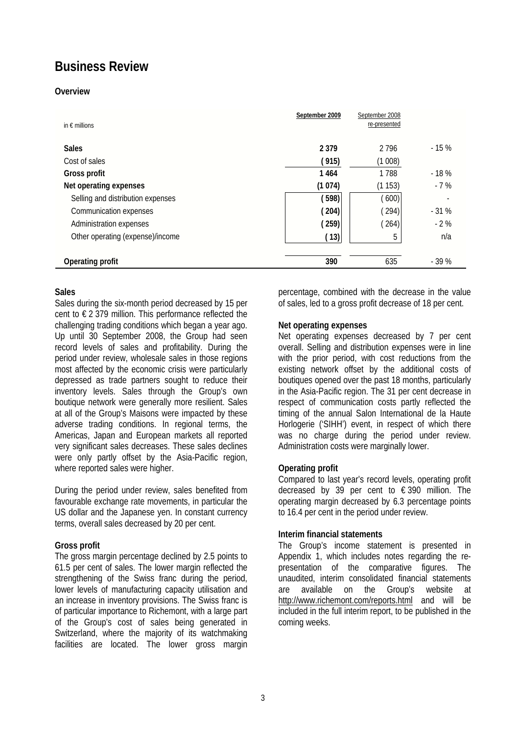# **Business Review**

#### **Overview**

| in $\epsilon$ millions            | September 2009 | September 2008<br>re-presented |        |
|-----------------------------------|----------------|--------------------------------|--------|
| <b>Sales</b>                      | 2 3 7 9        | 2796                           | $-15%$ |
| Cost of sales                     | (915)          | (1008)                         |        |
| Gross profit                      | 1464           | 1788                           | $-18%$ |
| Net operating expenses            | (1074)         | (1153)                         | $-7%$  |
| Selling and distribution expenses | (598)          | (600)                          | ۰      |
| Communication expenses            | (204)          | (294)                          | $-31%$ |
| Administration expenses           | (259)          | (264)                          | $-2%$  |
| Other operating (expense)/income  | (13)           | 5                              | n/a    |
|                                   |                |                                |        |
| Operating profit                  | 390            | 635                            | $-39%$ |

#### **Sales**

Sales during the six-month period decreased by 15 per cent to € 2 379 million. This performance reflected the challenging trading conditions which began a year ago. Up until 30 September 2008, the Group had seen record levels of sales and profitability. During the period under review, wholesale sales in those regions most affected by the economic crisis were particularly depressed as trade partners sought to reduce their inventory levels. Sales through the Group's own boutique network were generally more resilient. Sales at all of the Group's Maisons were impacted by these adverse trading conditions. In regional terms, the Americas, Japan and European markets all reported very significant sales decreases. These sales declines were only partly offset by the Asia-Pacific region, where reported sales were higher.

During the period under review, sales benefited from favourable exchange rate movements, in particular the US dollar and the Japanese yen. In constant currency terms, overall sales decreased by 20 per cent.

#### **Gross profit**

The gross margin percentage declined by 2.5 points to 61.5 per cent of sales. The lower margin reflected the strengthening of the Swiss franc during the period, lower levels of manufacturing capacity utilisation and an increase in inventory provisions. The Swiss franc is of particular importance to Richemont, with a large part of the Group's cost of sales being generated in Switzerland, where the majority of its watchmaking facilities are located. The lower gross margin

percentage, combined with the decrease in the value of sales, led to a gross profit decrease of 18 per cent.

#### **Net operating expenses**

Net operating expenses decreased by 7 per cent overall. Selling and distribution expenses were in line with the prior period, with cost reductions from the existing network offset by the additional costs of boutiques opened over the past 18 months, particularly in the Asia-Pacific region. The 31 per cent decrease in respect of communication costs partly reflected the timing of the annual Salon International de la Haute Horlogerie ('SIHH') event, in respect of which there was no charge during the period under review. Administration costs were marginally lower.

#### **Operating profit**

Compared to last year's record levels, operating profit decreased by 39 per cent to  $\epsilon$  390 million. The operating margin decreased by 6.3 percentage points to 16.4 per cent in the period under review.

#### **Interim financial statements**

The Group's income statement is presented in Appendix 1, which includes notes regarding the representation of the comparative figures. The unaudited, interim consolidated financial statements are available on the Group's website at http://www.richemont.com/reports.html and will be included in the full interim report, to be published in the coming weeks.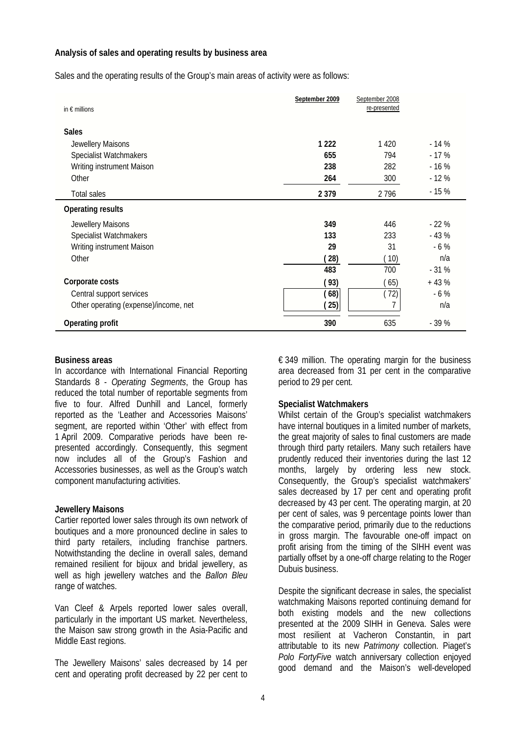#### **Analysis of sales and operating results by business area**

Sales and the operating results of the Group's main areas of activity were as follows:

| in $\epsilon$ millions                | September 2009 | September 2008<br>re-presented |        |
|---------------------------------------|----------------|--------------------------------|--------|
| <b>Sales</b>                          |                |                                |        |
| Jewellery Maisons                     | 1 2 2 2        | 1420                           | $-14%$ |
| Specialist Watchmakers                | 655            | 794                            | $-17%$ |
| Writing instrument Maison             | 238            | 282                            | $-16%$ |
| Other                                 | 264            | 300                            | $-12%$ |
| <b>Total sales</b>                    | 2 3 7 9        | 2796                           | $-15%$ |
| <b>Operating results</b>              |                |                                |        |
| Jewellery Maisons                     | 349            | 446                            | $-22%$ |
| Specialist Watchmakers                | 133            | 233                            | $-43%$ |
| Writing instrument Maison             | 29             | 31                             | $-6\%$ |
| Other                                 | (28)           | (10)                           | n/a    |
|                                       | 483            | 700                            | $-31%$ |
| Corporate costs                       | (93)           | (65)                           | $+43%$ |
| Central support services              | (68)           | (72)                           | $-6%$  |
| Other operating (expense)/income, net | (25)           | 7                              | n/a    |
| Operating profit                      | 390            | 635                            | $-39%$ |

#### **Business areas**

In accordance with International Financial Reporting Standards 8 - *Operating Segments*, the Group has reduced the total number of reportable segments from five to four. Alfred Dunhill and Lancel, formerly reported as the 'Leather and Accessories Maisons' segment, are reported within 'Other' with effect from 1 April 2009. Comparative periods have been represented accordingly. Consequently, this segment now includes all of the Group's Fashion and Accessories businesses, as well as the Group's watch component manufacturing activities.

#### **Jewellery Maisons**

Cartier reported lower sales through its own network of boutiques and a more pronounced decline in sales to third party retailers, including franchise partners. Notwithstanding the decline in overall sales, demand remained resilient for bijoux and bridal jewellery, as well as high jewellery watches and the *Ballon Bleu* range of watches.

Van Cleef & Arpels reported lower sales overall, particularly in the important US market. Nevertheless, the Maison saw strong growth in the Asia-Pacific and Middle East regions.

The Jewellery Maisons' sales decreased by 14 per cent and operating profit decreased by 22 per cent to  $\epsilon$  349 million. The operating margin for the business area decreased from 31 per cent in the comparative period to 29 per cent.

#### **Specialist Watchmakers**

Whilst certain of the Group's specialist watchmakers have internal boutiques in a limited number of markets, the great majority of sales to final customers are made through third party retailers. Many such retailers have prudently reduced their inventories during the last 12 months, largely by ordering less new stock. Consequently, the Group's specialist watchmakers' sales decreased by 17 per cent and operating profit decreased by 43 per cent. The operating margin, at 20 per cent of sales, was 9 percentage points lower than the comparative period, primarily due to the reductions in gross margin. The favourable one-off impact on profit arising from the timing of the SIHH event was partially offset by a one-off charge relating to the Roger Dubuis business.

Despite the significant decrease in sales, the specialist watchmaking Maisons reported continuing demand for both existing models and the new collections presented at the 2009 SIHH in Geneva. Sales were most resilient at Vacheron Constantin, in part attributable to its new *Patrimony* collection. Piaget's *Polo FortyFive* watch anniversary collection enjoyed good demand and the Maison's well-developed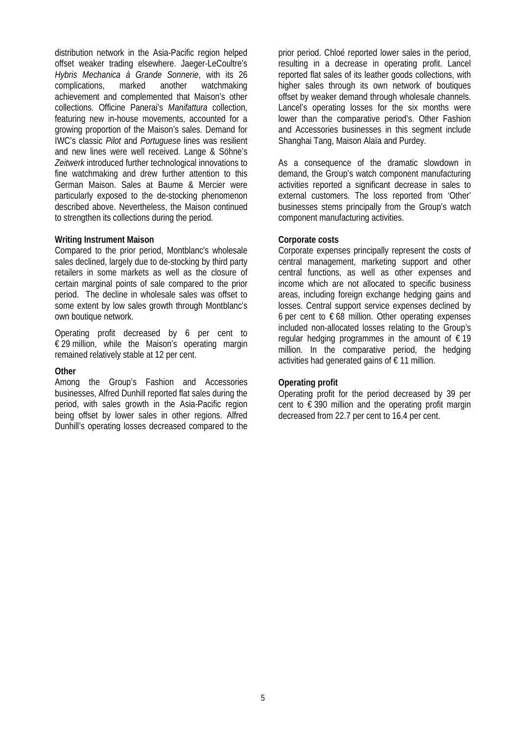distribution network in the Asia-Pacific region helped offset weaker trading elsewhere. Jaeger-LeCoultre's *Hybris Mechanica à Grande Sonnerie*, with its 26 complications, marked another watchmaking achievement and complemented that Maison's other collections. Officine Panerai's *Manifattura* collection, featuring new in-house movements, accounted for a growing proportion of the Maison's sales. Demand for IWC's classic *Pilot* and *Portuguese* lines was resilient and new lines were well received. Lange & Söhne's *Zeitwerk* introduced further technological innovations to fine watchmaking and drew further attention to this German Maison. Sales at Baume & Mercier were particularly exposed to the de-stocking phenomenon described above. Nevertheless, the Maison continued to strengthen its collections during the period.

#### **Writing Instrument Maison**

Compared to the prior period, Montblanc's wholesale sales declined, largely due to de-stocking by third party retailers in some markets as well as the closure of certain marginal points of sale compared to the prior period. The decline in wholesale sales was offset to some extent by low sales growth through Montblanc's own boutique network.

Operating profit decreased by 6 per cent to  $\in$  29 million, while the Maison's operating margin remained relatively stable at 12 per cent.

#### **Other**

Among the Group's Fashion and Accessories businesses, Alfred Dunhill reported flat sales during the period, with sales growth in the Asia-Pacific region being offset by lower sales in other regions. Alfred Dunhill's operating losses decreased compared to the

prior period. Chloé reported lower sales in the period, resulting in a decrease in operating profit. Lancel reported flat sales of its leather goods collections, with higher sales through its own network of boutiques offset by weaker demand through wholesale channels. Lancel's operating losses for the six months were lower than the comparative period's. Other Fashion and Accessories businesses in this segment include Shanghai Tang, Maison Alaïa and Purdey.

As a consequence of the dramatic slowdown in demand, the Group's watch component manufacturing activities reported a significant decrease in sales to external customers. The loss reported from 'Other' businesses stems principally from the Group's watch component manufacturing activities.

#### **Corporate costs**

Corporate expenses principally represent the costs of central management, marketing support and other central functions, as well as other expenses and income which are not allocated to specific business areas, including foreign exchange hedging gains and losses. Central support service expenses declined by 6 per cent to  $\epsilon$  68 million. Other operating expenses included non-allocated losses relating to the Group's regular hedging programmes in the amount of  $\epsilon$  19 million. In the comparative period, the hedging activities had generated gains of  $\epsilon$  11 million.

#### **Operating profit**

Operating profit for the period decreased by 39 per cent to  $\epsilon$  390 million and the operating profit margin decreased from 22.7 per cent to 16.4 per cent.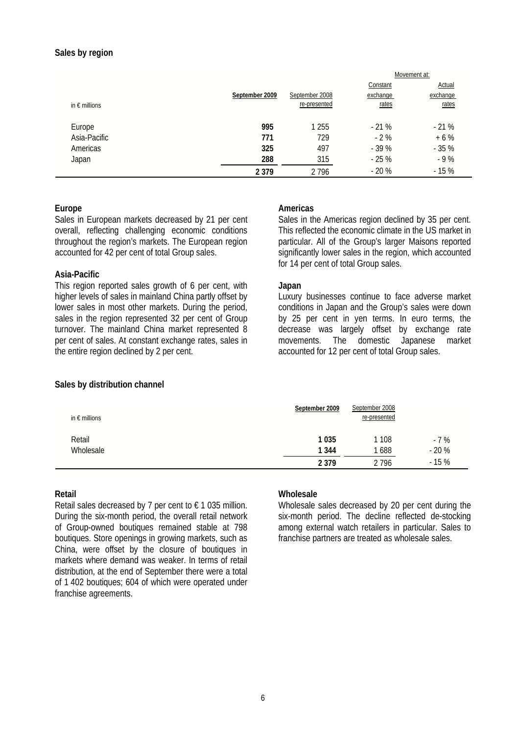#### **Sales by region**

|                        |                |                | Movement at: |          |
|------------------------|----------------|----------------|--------------|----------|
|                        |                |                | Constant     | Actual   |
|                        | September 2009 | September 2008 | exchange     | exchange |
| in $\epsilon$ millions |                | re-presented   | rates        | rates    |
|                        |                |                |              |          |
| Europe                 | 995            | 1 2 5 5        | $-21%$       | $-21%$   |
| Asia-Pacific           | 771            | 729            | $-2\%$       | $+6%$    |
| Americas               | 325            | 497            | $-39%$       | $-35%$   |
| Japan                  | 288            | 315            | $-25%$       | $-9%$    |
|                        | 2 3 7 9        | 2796           | $-20%$       | $-15%$   |

#### **Europe**

Sales in European markets decreased by 21 per cent overall, reflecting challenging economic conditions throughout the region's markets. The European region accounted for 42 per cent of total Group sales.

#### **Asia-Pacific**

This region reported sales growth of 6 per cent, with higher levels of sales in mainland China partly offset by lower sales in most other markets. During the period, sales in the region represented 32 per cent of Group turnover. The mainland China market represented 8 per cent of sales. At constant exchange rates, sales in the entire region declined by 2 per cent.

#### **Americas**

Sales in the Americas region declined by 35 per cent. This reflected the economic climate in the US market in particular. All of the Group's larger Maisons reported significantly lower sales in the region, which accounted for 14 per cent of total Group sales.

#### **Japan**

Luxury businesses continue to face adverse market conditions in Japan and the Group's sales were down by 25 per cent in yen terms. In euro terms, the decrease was largely offset by exchange rate movements. The domestic Japanese market accounted for 12 per cent of total Group sales.

#### **Sales by distribution channel**

| in $\epsilon$ millions | September 2009 | September 2008<br>re-presented |        |
|------------------------|----------------|--------------------------------|--------|
| Retail                 | 1035           | 1 108                          | $-7%$  |
| Wholesale              | 1 3 4 4        | 1688                           | $-20%$ |
|                        | 2 3 7 9        | 2 7 9 6                        | $-15%$ |

#### **Retail**

Retail sales decreased by 7 per cent to  $\epsilon$  1 035 million. During the six-month period, the overall retail network of Group-owned boutiques remained stable at 798 boutiques. Store openings in growing markets, such as China, were offset by the closure of boutiques in markets where demand was weaker. In terms of retail distribution, at the end of September there were a total of 1 402 boutiques; 604 of which were operated under franchise agreements.

#### **Wholesale**

Wholesale sales decreased by 20 per cent during the six-month period. The decline reflected de-stocking among external watch retailers in particular. Sales to franchise partners are treated as wholesale sales.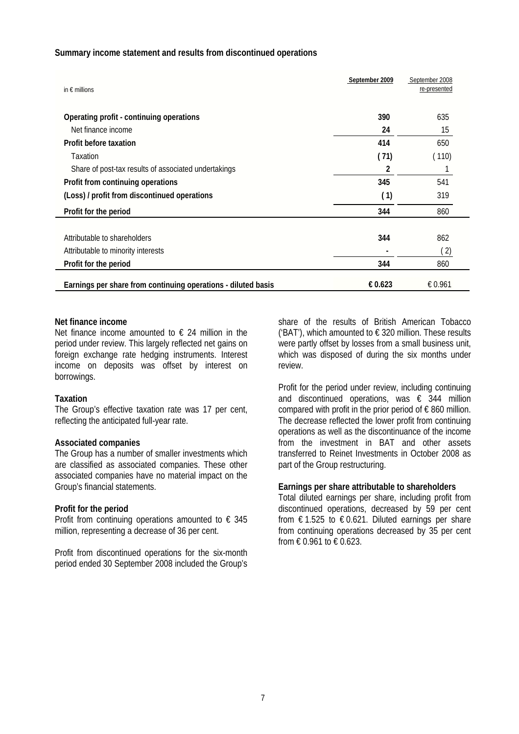#### **Summary income statement and results from discontinued operations**

| in $\epsilon$ millions                                        | September 2009 | September 2008<br>re-presented |
|---------------------------------------------------------------|----------------|--------------------------------|
| Operating profit - continuing operations                      | 390            | 635                            |
| Net finance income                                            | 24             | 15                             |
| Profit before taxation                                        | 414            | 650                            |
| Taxation                                                      | (71)           | (110)                          |
| Share of post-tax results of associated undertakings          | 2              |                                |
| Profit from continuing operations                             | 345            | 541                            |
| (Loss) / profit from discontinued operations                  | (1)            | 319                            |
| Profit for the period                                         | 344            | 860                            |
|                                                               |                |                                |
| Attributable to shareholders                                  | 344            | 862                            |
| Attributable to minority interests                            |                | (2)                            |
| Profit for the period                                         | 344            | 860                            |
| Earnings per share from continuing operations - diluted basis | € 0.623        | € 0.961                        |

#### **Net finance income**

Net finance income amounted to  $\epsilon$  24 million in the period under review. This largely reflected net gains on foreign exchange rate hedging instruments. Interest income on deposits was offset by interest on borrowings.

#### **Taxation**

The Group's effective taxation rate was 17 per cent, reflecting the anticipated full-year rate.

#### **Associated companies**

The Group has a number of smaller investments which are classified as associated companies. These other associated companies have no material impact on the Group's financial statements.

#### **Profit for the period**

Profit from continuing operations amounted to  $\epsilon$  345 million, representing a decrease of 36 per cent.

Profit from discontinued operations for the six-month period ended 30 September 2008 included the Group's share of the results of British American Tobacco ('BAT'), which amounted to  $\epsilon$  320 million. These results were partly offset by losses from a small business unit, which was disposed of during the six months under review.

Profit for the period under review, including continuing and discontinued operations, was  $\epsilon$  344 million compared with profit in the prior period of  $\epsilon$  860 million. The decrease reflected the lower profit from continuing operations as well as the discontinuance of the income from the investment in BAT and other assets transferred to Reinet Investments in October 2008 as part of the Group restructuring.

#### **Earnings per share attributable to shareholders**

Total diluted earnings per share, including profit from discontinued operations, decreased by 59 per cent from  $\epsilon$  1.525 to  $\epsilon$  0.621. Diluted earnings per share from continuing operations decreased by 35 per cent from  $\in 0.961$  to  $\in 0.623$ .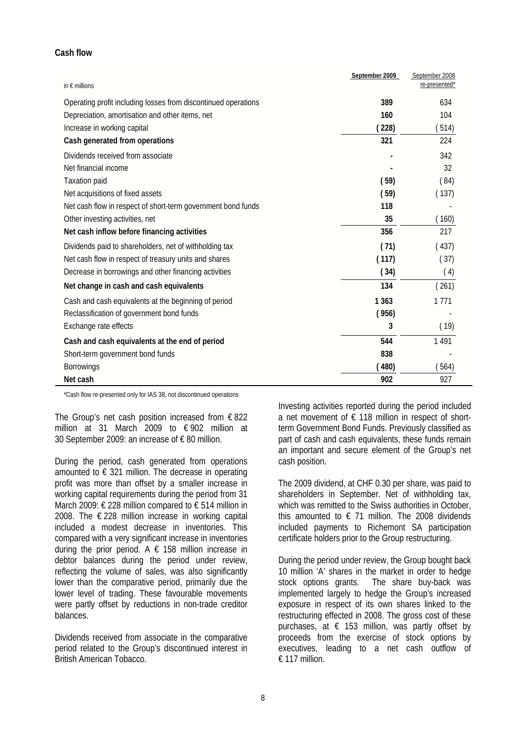#### **Cash flow**

| in $\epsilon$ millions                                         | September 2009 | September 2008<br>re-presented* |
|----------------------------------------------------------------|----------------|---------------------------------|
| Operating profit including losses from discontinued operations | 389            | 634                             |
| Depreciation, amortisation and other items, net                | 160            | 104                             |
| Increase in working capital                                    | (228)          | 514)                            |
| Cash generated from operations                                 | 321            | 224                             |
| Dividends received from associate                              |                | 342                             |
| Net financial income                                           |                | 32                              |
| <b>Taxation paid</b>                                           | (59)           | (84)                            |
| Net acquisitions of fixed assets                               | (59)           | (137)                           |
| Net cash flow in respect of short-term government bond funds   | 118            |                                 |
| Other investing activities, net                                | 35             | (160)                           |
| Net cash inflow before financing activities                    | 356            | 217                             |
| Dividends paid to shareholders, net of withholding tax         | (71)           | (437)                           |
| Net cash flow in respect of treasury units and shares          | (117)          | (37)                            |
| Decrease in borrowings and other financing activities          | (34)           | (4)                             |
| Net change in cash and cash equivalents                        | 134            | (261)                           |
| Cash and cash equivalents at the beginning of period           | 1 3 6 3        | 1 7 7 1                         |
| Reclassification of government bond funds                      | (956)          |                                 |
| Exchange rate effects                                          | 3              | (19)                            |
| Cash and cash equivalents at the end of period                 | 544            | 1491                            |
| Short-term government bond funds                               | 838            |                                 |
| <b>Borrowings</b>                                              | (480)          | 564)                            |
| Net cash                                                       | 902            | 927                             |

\*Cash flow re-presented only for IAS 38, not discontinued operations

The Group's net cash position increased from  $\epsilon$  822 million at 31 March 2009 to € 902 million at 30 September 2009: an increase of € 80 million.

During the period, cash generated from operations amounted to  $\epsilon$  321 million. The decrease in operating profit was more than offset by a smaller increase in working capital requirements during the period from 31 March 2009: € 228 million compared to € 514 million in 2008. The € 228 million increase in working capital included a modest decrease in inventories. This compared with a very significant increase in inventories during the prior period. A  $\epsilon$  158 million increase in debtor balances during the period under review, reflecting the volume of sales, was also significantly lower than the comparative period, primarily due the lower level of trading. These favourable movements were partly offset by reductions in non-trade creditor balances.

Dividends received from associate in the comparative period related to the Group's discontinued interest in British American Tobacco.

Investing activities reported during the period included a net movement of  $\epsilon$  118 million in respect of shortterm Government Bond Funds. Previously classified as part of cash and cash equivalents, these funds remain an important and secure element of the Group's net cash position.

The 2009 dividend, at CHF 0.30 per share, was paid to shareholders in September. Net of withholding tax, which was remitted to the Swiss authorities in October. this amounted to  $\epsilon$  71 million. The 2008 dividends included payments to Richemont SA participation certificate holders prior to the Group restructuring.

During the period under review, the Group bought back 10 million 'A' shares in the market in order to hedge stock options grants. The share buy-back was implemented largely to hedge the Group's increased exposure in respect of its own shares linked to the restructuring effected in 2008. The gross cost of these purchases, at  $\epsilon$  153 million, was partly offset by proceeds from the exercise of stock options by executives, leading to a net cash outflow of  $£ 117$  million.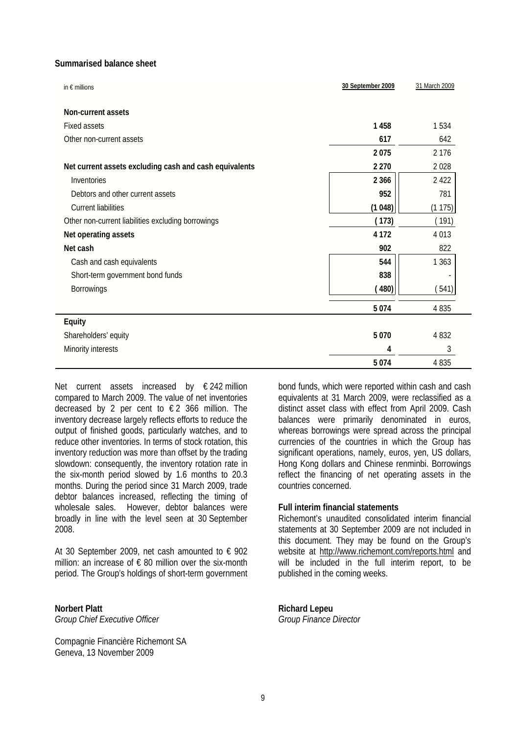#### **Summarised balance sheet**

| in $\epsilon$ millions                                 | 30 September 2009 | 31 March 2009 |
|--------------------------------------------------------|-------------------|---------------|
| Non-current assets                                     |                   |               |
| <b>Fixed assets</b>                                    | 1458              | 1534          |
| Other non-current assets                               | 617               | 642           |
|                                                        | 2075              | 2 1 7 6       |
| Net current assets excluding cash and cash equivalents | 2 2 7 0           | 2028          |
| Inventories                                            | 2 3 6 6           | 2 4 2 2       |
| Debtors and other current assets                       | 952               | 781           |
| <b>Current liabilities</b>                             | (1048)            | (1175)        |
| Other non-current liabilities excluding borrowings     | (173)             | (191)         |
| Net operating assets                                   | 4 1 7 2           | 4 0 1 3       |
| Net cash                                               | 902               | 822           |
| Cash and cash equivalents                              | 544               | 1 3 6 3       |
| Short-term government bond funds                       | 838               |               |
| <b>Borrowings</b>                                      | (480)             | (541)         |
|                                                        | 5 0 7 4           | 4 8 3 5       |
| Equity                                                 |                   |               |
| Shareholders' equity                                   | 5 0 7 0           | 4 8 3 2       |
| Minority interests                                     | 4                 | 3             |
|                                                        | 5074              | 4 8 3 5       |

Net current assets increased by € 242 million compared to March 2009. The value of net inventories decreased by 2 per cent to  $\epsilon$  2 366 million. The inventory decrease largely reflects efforts to reduce the output of finished goods, particularly watches, and to reduce other inventories. In terms of stock rotation, this inventory reduction was more than offset by the trading slowdown: consequently, the inventory rotation rate in the six-month period slowed by 1.6 months to 20.3 months. During the period since 31 March 2009, trade debtor balances increased, reflecting the timing of wholesale sales. However, debtor balances were broadly in line with the level seen at 30 September 2008.

At 30 September 2009, net cash amounted to  $\epsilon$  902 million: an increase of  $\epsilon$  80 million over the six-month period. The Group's holdings of short-term government

**Norbert Platt**  *Group Chief Executive Officer* 

Compagnie Financière Richemont SA Geneva, 13 November 2009

bond funds, which were reported within cash and cash equivalents at 31 March 2009, were reclassified as a distinct asset class with effect from April 2009. Cash balances were primarily denominated in euros, whereas borrowings were spread across the principal currencies of the countries in which the Group has significant operations, namely, euros, yen, US dollars, Hong Kong dollars and Chinese renminbi. Borrowings reflect the financing of net operating assets in the countries concerned.

#### **Full interim financial statements**

Richemont's unaudited consolidated interim financial statements at 30 September 2009 are not included in this document. They may be found on the Group's website at http://www.richemont.com/reports.html and will be included in the full interim report, to be published in the coming weeks.

**Richard Lepeu**  *Group Finance Director*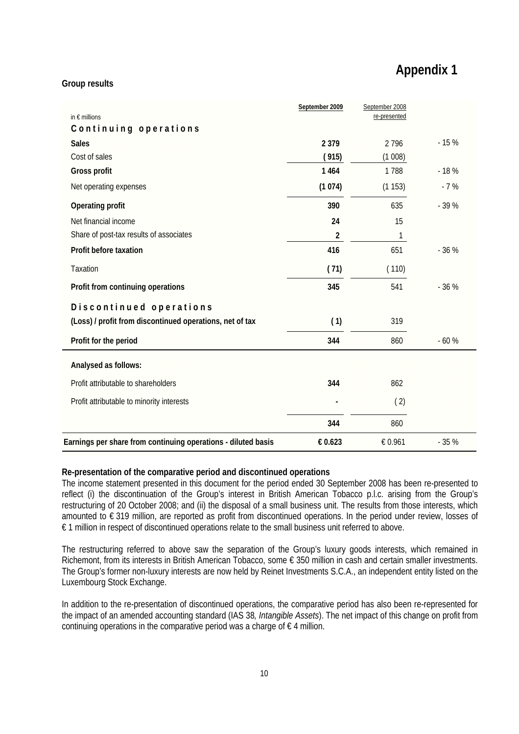# **Appendix 1**

#### **Group results**

| in $\epsilon$ millions                                        | September 2009 | September 2008<br>re-presented |        |
|---------------------------------------------------------------|----------------|--------------------------------|--------|
| Continuing operations                                         |                |                                |        |
| <b>Sales</b>                                                  | 2 3 7 9        | 2796                           | $-15%$ |
| Cost of sales                                                 | (915)          | (1008)                         |        |
| Gross profit                                                  | 1 4 6 4        | 1788                           | $-18%$ |
| Net operating expenses                                        | (1074)         | (1153)                         | $-7%$  |
| Operating profit                                              | 390            | 635                            | $-39%$ |
| Net financial income                                          | 24             | 15                             |        |
| Share of post-tax results of associates                       | 2              | 1                              |        |
| Profit before taxation                                        | 416            | 651                            | $-36%$ |
| Taxation                                                      | (71)           | (110)                          |        |
| Profit from continuing operations                             | 345            | 541                            | $-36%$ |
| Discontinued operations                                       |                |                                |        |
| (Loss) / profit from discontinued operations, net of tax      | (1)            | 319                            |        |
| Profit for the period                                         | 344            | 860                            | $-60%$ |
| Analysed as follows:                                          |                |                                |        |
| Profit attributable to shareholders                           | 344            | 862                            |        |
| Profit attributable to minority interests                     |                | (2)                            |        |
|                                                               | 344            | 860                            |        |
| Earnings per share from continuing operations - diluted basis | € 0.623        | € 0.961                        | $-35%$ |

#### **Re-presentation of the comparative period and discontinued operations**

The income statement presented in this document for the period ended 30 September 2008 has been re-presented to reflect (i) the discontinuation of the Group's interest in British American Tobacco p.l.c. arising from the Group's restructuring of 20 October 2008; and (ii) the disposal of a small business unit. The results from those interests, which amounted to € 319 million, are reported as profit from discontinued operations. In the period under review, losses of € 1 million in respect of discontinued operations relate to the small business unit referred to above.

The restructuring referred to above saw the separation of the Group's luxury goods interests, which remained in Richemont, from its interests in British American Tobacco, some € 350 million in cash and certain smaller investments. The Group's former non-luxury interests are now held by Reinet Investments S.C.A., an independent entity listed on the Luxembourg Stock Exchange.

In addition to the re-presentation of discontinued operations, the comparative period has also been re-represented for the impact of an amended accounting standard (IAS 38*, Intangible Assets*). The net impact of this change on profit from continuing operations in the comparative period was a charge of  $\epsilon$  4 million.